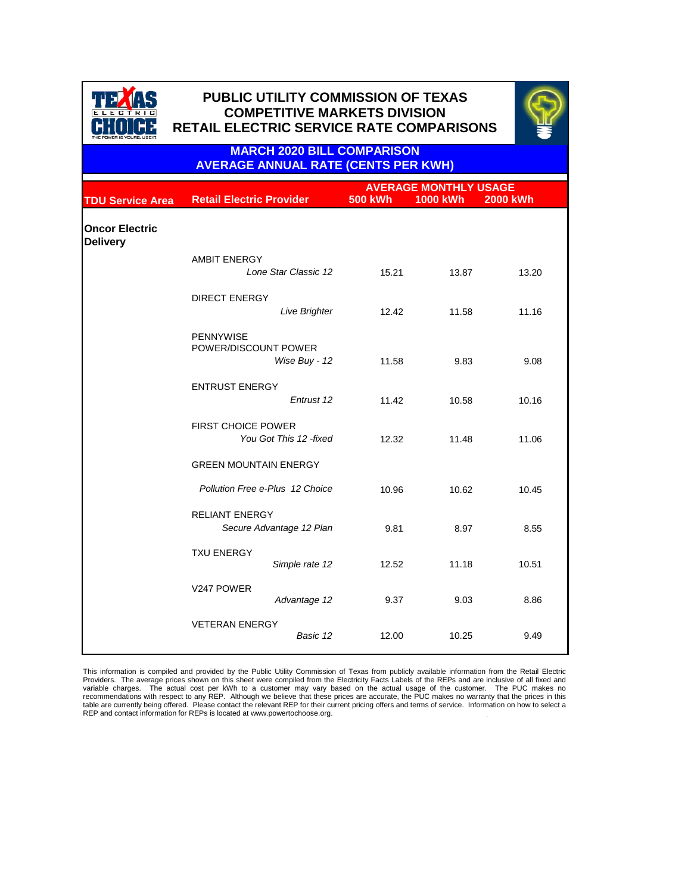

## **PUBLIC UTILITY COMMISSION OF TEXAS PUBLIC UTILITY COMMISSION OF TEXAS COMPETITIVE MARKETS DIVISION RETAIL ELECTRIC SERVICE RATE COMPARISONS**



**MARCH 2020 BILL COMPARISON AVERAGE ANNUAL RATE (CENTS PER KWH)**

|                                          |                                                     | <b>AVERAGE MONTHLY USAGE</b> |                                    |  |  |
|------------------------------------------|-----------------------------------------------------|------------------------------|------------------------------------|--|--|
| <b>TDU Service Area</b>                  | <b>Retail Electric Provider</b>                     | <b>500 kWh</b>               | <b>1000 kWh</b><br><b>2000 kWh</b> |  |  |
| <b>Oncor Electric</b><br><b>Delivery</b> |                                                     |                              |                                    |  |  |
|                                          | <b>AMBIT ENERGY</b>                                 |                              |                                    |  |  |
|                                          | Lone Star Classic 12                                | 15.21                        | 13.87<br>13.20                     |  |  |
|                                          | <b>DIRECT ENERGY</b>                                |                              |                                    |  |  |
|                                          | <b>Live Brighter</b>                                | 12.42                        | 11.58<br>11.16                     |  |  |
|                                          | <b>PENNYWISE</b><br>POWER/DISCOUNT POWER            |                              |                                    |  |  |
|                                          | Wise Buy - 12                                       | 11.58                        | 9.83<br>9.08                       |  |  |
|                                          | <b>ENTRUST ENERGY</b>                               |                              |                                    |  |  |
|                                          | Entrust 12                                          | 11.42                        | 10.58<br>10.16                     |  |  |
|                                          | <b>FIRST CHOICE POWER</b><br>You Got This 12 -fixed | 12.32                        | 11.48<br>11.06                     |  |  |
|                                          | <b>GREEN MOUNTAIN ENERGY</b>                        |                              |                                    |  |  |
|                                          | Pollution Free e-Plus 12 Choice                     | 10.96                        | 10.62<br>10.45                     |  |  |
|                                          | <b>RELIANT ENERGY</b><br>Secure Advantage 12 Plan   | 9.81                         | 8.97<br>8.55                       |  |  |
|                                          | <b>TXU ENERGY</b><br>Simple rate 12                 | 12.52                        | 11.18<br>10.51                     |  |  |
|                                          | V247 POWER<br>Advantage 12                          | 9.37                         | 9.03<br>8.86                       |  |  |
|                                          | <b>VETERAN ENERGY</b><br>Basic 12                   | 12.00                        | 10.25<br>9.49                      |  |  |

This information is compiled and provided by the Public Utility Commission of Texas from publicly available information from the Retail Electric<br>Providers. The average prices shown on this sheet were compiled from the Elec table are currently being offered. Please contact the relevant REP for their current pricing offers and terms of service. Information on how to select a REP and contact information for REPs is located at www.powertochoose.org.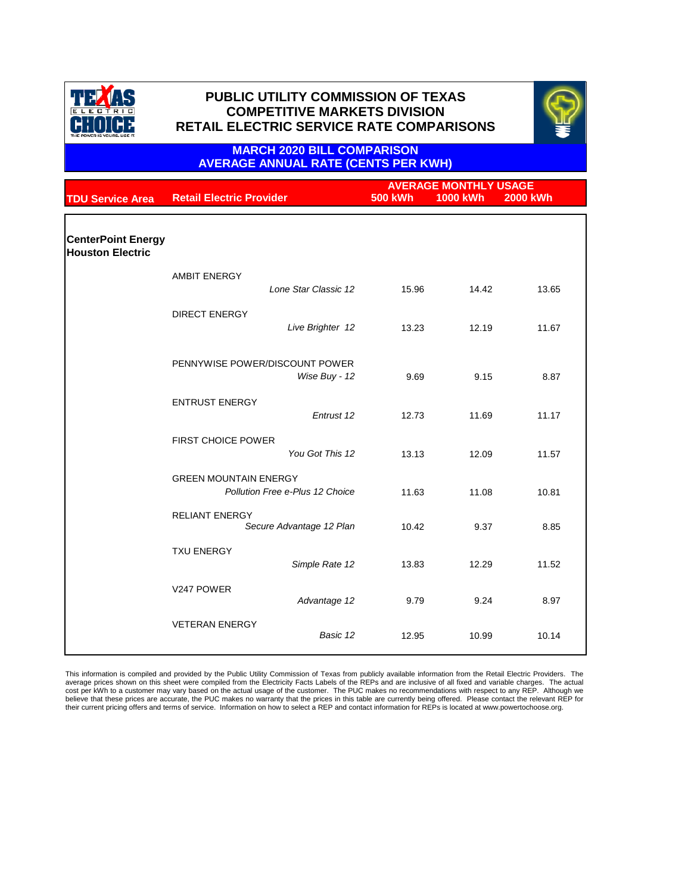



### **MARCH 2020 BILL COMPARISON AVERAGE ANNUAL RATE (CENTS PER KWH)**

| <b>TDU Service Area</b>                              | <b>Retail Electric Provider</b>                                 | <b>AVERAGE MONTHLY USAGE</b><br><b>500 kWh</b><br><b>1000 kWh</b><br><b>2000 kWh</b> |       |       |
|------------------------------------------------------|-----------------------------------------------------------------|--------------------------------------------------------------------------------------|-------|-------|
|                                                      |                                                                 |                                                                                      |       |       |
| <b>CenterPoint Energy</b><br><b>Houston Electric</b> |                                                                 |                                                                                      |       |       |
|                                                      | <b>AMBIT ENERGY</b><br>Lone Star Classic 12                     | 15.96                                                                                | 14.42 | 13.65 |
|                                                      | <b>DIRECT ENERGY</b><br>Live Brighter 12                        | 13.23                                                                                | 12.19 | 11.67 |
|                                                      | PENNYWISE POWER/DISCOUNT POWER<br>Wise Buy - 12                 | 9.69                                                                                 | 9.15  | 8.87  |
|                                                      | <b>ENTRUST ENERGY</b><br>Entrust 12                             | 12.73                                                                                | 11.69 | 11.17 |
|                                                      | <b>FIRST CHOICE POWER</b><br>You Got This 12                    | 13.13                                                                                | 12.09 | 11.57 |
|                                                      | <b>GREEN MOUNTAIN ENERGY</b><br>Pollution Free e-Plus 12 Choice | 11.63                                                                                | 11.08 | 10.81 |
|                                                      | <b>RELIANT ENERGY</b><br>Secure Advantage 12 Plan               | 10.42                                                                                | 9.37  | 8.85  |
|                                                      | <b>TXU ENERGY</b><br>Simple Rate 12                             | 13.83                                                                                | 12.29 | 11.52 |
|                                                      | V247 POWER<br>Advantage 12                                      | 9.79                                                                                 | 9.24  | 8.97  |
|                                                      | <b>VETERAN ENERGY</b><br>Basic 12                               | 12.95                                                                                | 10.99 | 10.14 |

This information is compiled and provided by the Public Utility Commission of Texas from publicly available information from the Retail Electric Providers. The<br>average prices shown on this sheet were compiled from the Elec cost per kWh to a customer may vary based on the actual usage of the customer. The PUC makes no recommendations with respect to any REP. Although we<br>believe that these prices are accurate, the PUC makes no warranty that th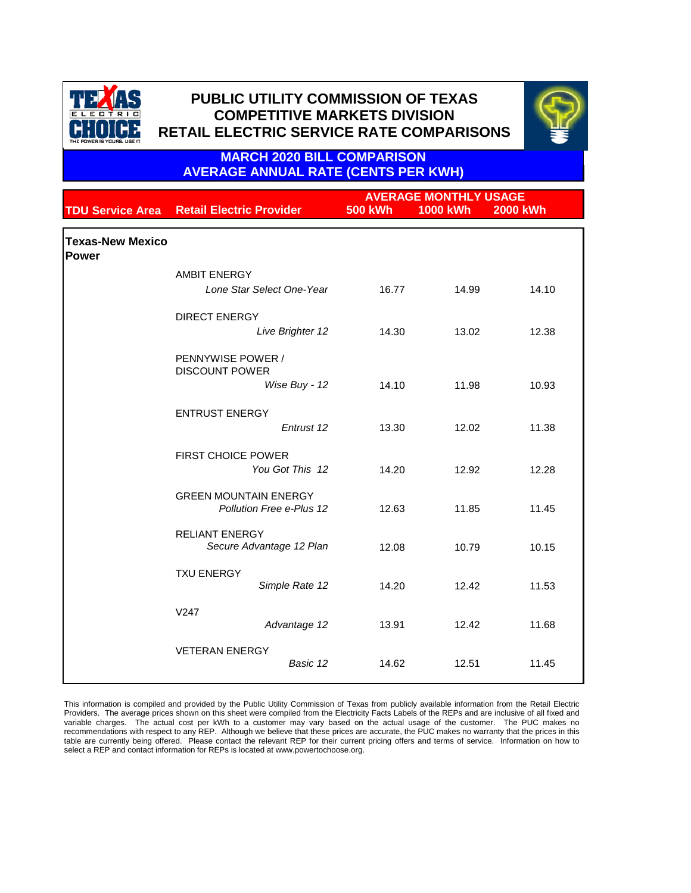



**MARCH 2020 BILL COMPARISON AVERAGE ANNUAL RATE (CENTS PER KWH)**

|                                  |                                                          |                | <b>AVERAGE MONTHLY USAGE</b> |                 |
|----------------------------------|----------------------------------------------------------|----------------|------------------------------|-----------------|
| <b>TDU Service Area</b>          | <b>Retail Electric Provider</b>                          | <b>500 kWh</b> | <b>1000 kWh</b>              | <b>2000 kWh</b> |
|                                  |                                                          |                |                              |                 |
| <b>Texas-New Mexico</b><br>Power |                                                          |                |                              |                 |
|                                  | <b>AMBIT ENERGY</b>                                      |                |                              |                 |
|                                  | Lone Star Select One-Year                                | 16.77          | 14.99                        | 14.10           |
|                                  | <b>DIRECT ENERGY</b>                                     |                |                              |                 |
|                                  | Live Brighter 12                                         | 14.30          | 13.02                        | 12.38           |
|                                  | PENNYWISE POWER /<br><b>DISCOUNT POWER</b>               |                |                              |                 |
|                                  | Wise Buy - 12                                            | 14.10          | 11.98                        | 10.93           |
|                                  | <b>ENTRUST ENERGY</b>                                    |                |                              |                 |
|                                  | Entrust 12                                               | 13.30          | 12.02                        | 11.38           |
|                                  | <b>FIRST CHOICE POWER</b><br>You Got This 12             | 14.20          | 12.92                        | 12.28           |
|                                  | <b>GREEN MOUNTAIN ENERGY</b><br>Pollution Free e-Plus 12 | 12.63          | 11.85                        | 11.45           |
|                                  | <b>RELIANT ENERGY</b><br>Secure Advantage 12 Plan        | 12.08          | 10.79                        | 10.15           |
|                                  | <b>TXU ENERGY</b><br>Simple Rate 12                      | 14.20          | 12.42                        | 11.53           |
|                                  | V247<br>Advantage 12                                     | 13.91          | 12.42                        | 11.68           |
|                                  | <b>VETERAN ENERGY</b><br>Basic 12                        | 14.62          | 12.51                        | 11.45           |

This information is compiled and provided by the Public Utility Commission of Texas from publicly available information from the Retail Electric Providers. The average prices shown on this sheet were compiled from the Electricity Facts Labels of the REPs and are inclusive of all fixed and variable charges. The actual cost per kWh to a customer may vary based on the actual usage of the customer. The PUC makes no recommendations with respect to any REP. Although we believe that these prices are accurate, the PUC makes no warranty that the prices in this table are currently being offered. Please contact the relevant REP for their current pricing offers and terms of service. Information on how to select a REP and contact information for REPs is located at www.powertochoose.org.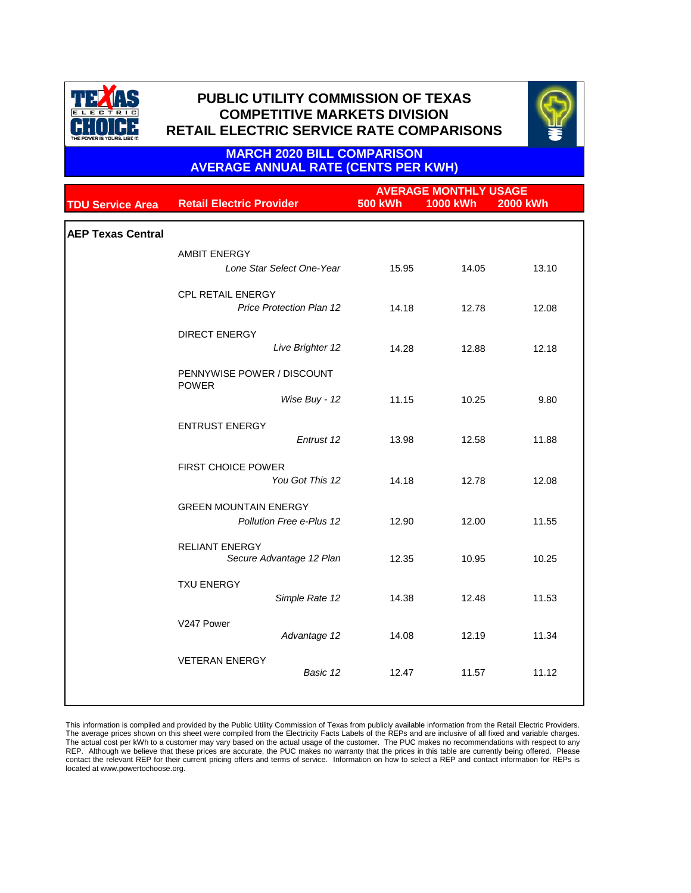



### **MARCH 2020 BILL COMPARISON AVERAGE ANNUAL RATE (CENTS PER KWH)**

|                          | <b>AVERAGE MONTHLY USAGE</b>                      |                |                 |                 |
|--------------------------|---------------------------------------------------|----------------|-----------------|-----------------|
| <b>TDU Service Area</b>  | <b>Retail Electric Provider</b>                   | <b>500 kWh</b> | <b>1000 kWh</b> | <b>2000 kWh</b> |
|                          |                                                   |                |                 |                 |
| <b>AEP Texas Central</b> |                                                   |                |                 |                 |
|                          | <b>AMBIT ENERGY</b>                               |                |                 |                 |
|                          | Lone Star Select One-Year                         | 15.95          | 14.05           | 13.10           |
|                          |                                                   |                |                 |                 |
|                          | CPL RETAIL ENERGY                                 |                |                 |                 |
|                          | <b>Price Protection Plan 12</b>                   | 14.18          | 12.78           | 12.08           |
|                          |                                                   |                |                 |                 |
|                          | <b>DIRECT ENERGY</b>                              |                |                 |                 |
|                          | Live Brighter 12                                  | 14.28          | 12.88           | 12.18           |
|                          | PENNYWISE POWER / DISCOUNT                        |                |                 |                 |
|                          | <b>POWER</b>                                      |                |                 |                 |
|                          | Wise Buy - 12                                     | 11.15          | 10.25           | 9.80            |
|                          |                                                   |                |                 |                 |
|                          | <b>ENTRUST ENERGY</b>                             |                |                 |                 |
|                          | Entrust 12                                        | 13.98          | 12.58           | 11.88           |
|                          | <b>FIRST CHOICE POWER</b>                         |                |                 |                 |
|                          | You Got This 12                                   | 14.18          | 12.78           | 12.08           |
|                          |                                                   |                |                 |                 |
|                          | <b>GREEN MOUNTAIN ENERGY</b>                      |                |                 |                 |
|                          | Pollution Free e-Plus 12                          | 12.90          | 12.00           | 11.55           |
|                          |                                                   |                |                 |                 |
|                          | <b>RELIANT ENERGY</b><br>Secure Advantage 12 Plan | 12.35          | 10.95           | 10.25           |
|                          |                                                   |                |                 |                 |
|                          | <b>TXU ENERGY</b>                                 |                |                 |                 |
|                          | Simple Rate 12                                    | 14.38          | 12.48           | 11.53           |
|                          |                                                   |                |                 |                 |
|                          | V247 Power<br>Advantage 12                        | 14.08          | 12.19           | 11.34           |
|                          |                                                   |                |                 |                 |
|                          | <b>VETERAN ENERGY</b>                             |                |                 |                 |
|                          | Basic 12                                          | 12.47          | 11.57           | 11.12           |
|                          |                                                   |                |                 |                 |
|                          |                                                   |                |                 |                 |

This information is compiled and provided by the Public Utility Commission of Texas from publicly available information from the Retail Electric Providers. The average prices shown on this sheet were compiled from the Electricity Facts Labels of the REPs and are inclusive of all fixed and variable charges.<br>The actual cost per kWh to a customer may vary based on the actual usa contact the relevant REP for their current pricing offers and terms of service. Information on how to select a REP and contact information for REPs is located at www.powertochoose.org.